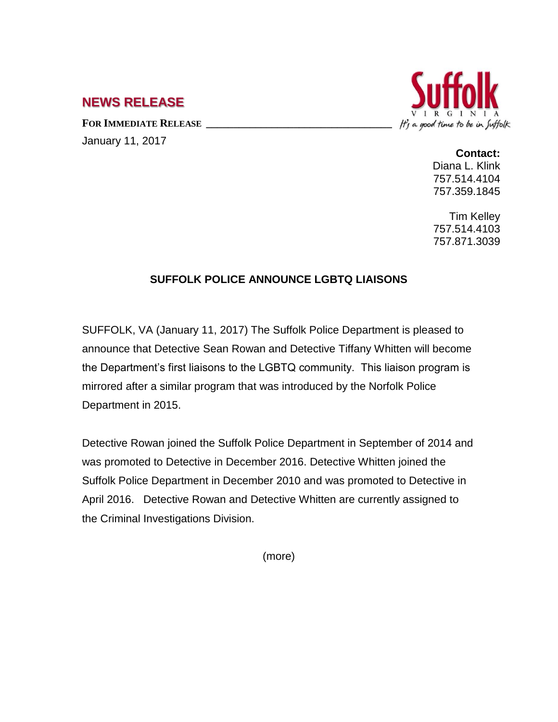## **NEWS RELEASE**

**FOR IMMEDIATE RELEASE \_\_\_\_\_\_\_\_\_\_\_\_\_\_\_\_\_\_\_\_\_\_\_\_\_\_\_\_\_\_\_\_\_\_**

January 11, 2017



## **Contact:**

Diana L. Klink 757.514.4104 757.359.1845

Tim Kelley 757.514.4103 757.871.3039

## **SUFFOLK POLICE ANNOUNCE LGBTQ LIAISONS**

SUFFOLK, VA (January 11, 2017) The Suffolk Police Department is pleased to announce that Detective Sean Rowan and Detective Tiffany Whitten will become the Department's first liaisons to the LGBTQ community. This liaison program is mirrored after a similar program that was introduced by the Norfolk Police Department in 2015.

Detective Rowan joined the Suffolk Police Department in September of 2014 and was promoted to Detective in December 2016. Detective Whitten joined the Suffolk Police Department in December 2010 and was promoted to Detective in April 2016. Detective Rowan and Detective Whitten are currently assigned to the Criminal Investigations Division.

(more)